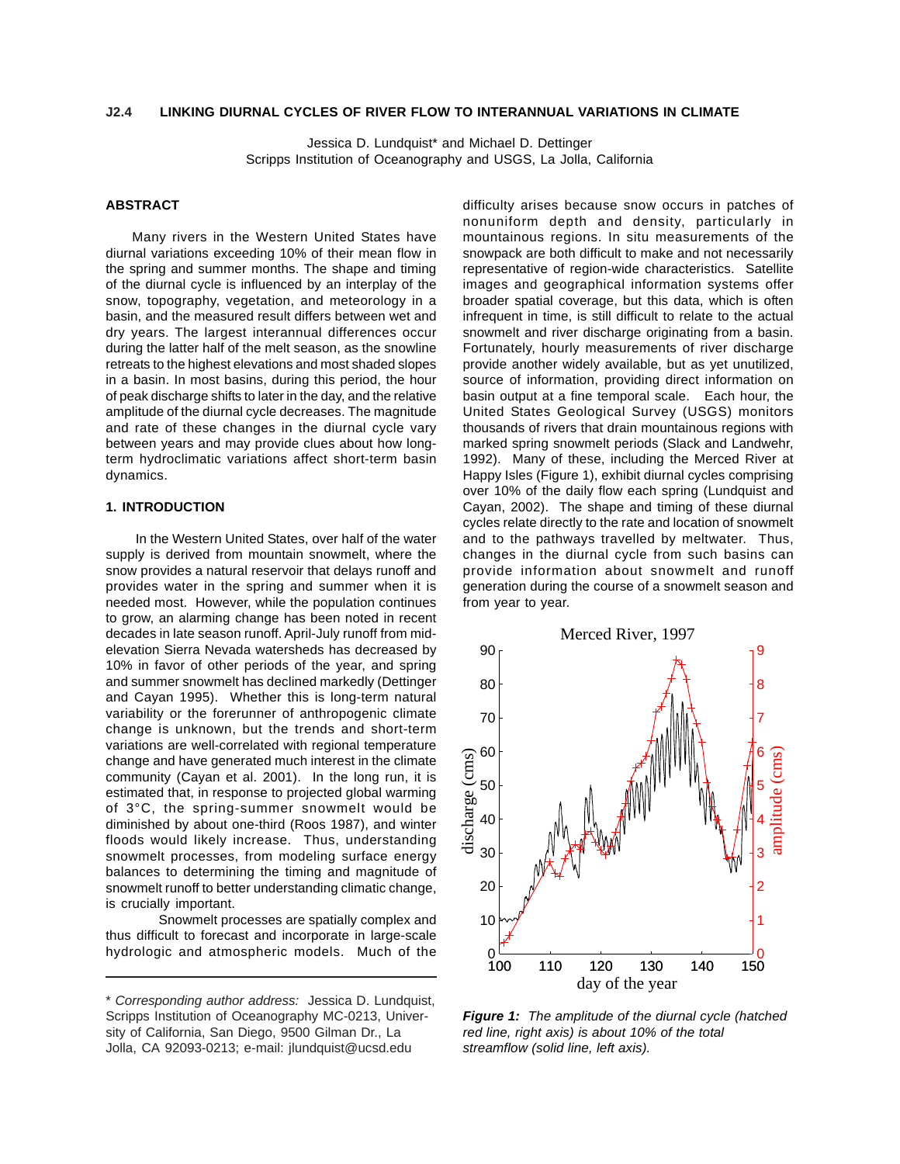#### **LINKING DIURNAL CYCLES OF RIVER FLOW TO INTERANNUAL VARIATIONS IN CLIMATE J2.4**

Jessica D. Lundquist\* and Michael D. Dettinger Scripps Institution of Oceanography and USGS, La Jolla, California

# **ABSTRACT**

Many rivers in the Western United States have diurnal variations exceeding 10% of their mean flow in the spring and summer months. The shape and timing of the diurnal cycle is influenced by an interplay of the snow, topography, vegetation, and meteorology in a basin, and the measured result differs between wet and dry years. The largest interannual differences occur during the latter half of the melt season, as the snowline retreats to the highest elevations and most shaded slopes in a basin. In most basins, during this period, the hour of peak discharge shifts to later in the day, and the relative amplitude of the diurnal cycle decreases. The magnitude and rate of these changes in the diurnal cycle vary between years and may provide clues about how longterm hydroclimatic variations affect short-term basin dynamics.

## **1. INTRODUCTION**

In the Western United States, over half of the water supply is derived from mountain snowmelt, where the snow provides a natural reservoir that delays runoff and provides water in the spring and summer when it is needed most. However, while the population continues to grow, an alarming change has been noted in recent decades in late season runoff. April-July runoff from midelevation Sierra Nevada watersheds has decreased by 10% in favor of other periods of the year, and spring and summer snowmelt has declined markedly (Dettinger and Cayan 1995). Whether this is long-term natural variability or the forerunner of anthropogenic climate change is unknown, but the trends and short-term variations are well-correlated with regional temperature change and have generated much interest in the climate community (Cayan et al. 2001). In the long run, it is estimated that, in response to projected global warming of 3°C, the spring-summer snowmelt would be diminished by about one-third (Roos 1987), and winter floods would likely increase. Thus, understanding snowmelt processes, from modeling surface energy balances to determining the timing and magnitude of snowmelt runoff to better understanding climatic change, is crucially important.

Snowmelt processes are spatially complex and thus difficult to forecast and incorporate in large-scale hydrologic and atmospheric models. Much of the difficulty arises because snow occurs in patches of nonuniform depth and density, particularly in mountainous regions. In situ measurements of the snowpack are both difficult to make and not necessarily representative of region-wide characteristics. Satellite images and geographical information systems offer broader spatial coverage, but this data, which is often infrequent in time, is still difficult to relate to the actual snowmelt and river discharge originating from a basin. Fortunately, hourly measurements of river discharge provide another widely available, but as yet unutilized, source of information, providing direct information on basin output at a fine temporal scale. Each hour, the United States Geological Survey (USGS) monitors thousands of rivers that drain mountainous regions with marked spring snowmelt periods (Slack and Landwehr, 1992). Many of these, including the Merced River at Happy Isles (Figure 1), exhibit diurnal cycles comprising over 10% of the daily flow each spring (Lundquist and Cayan, 2002). The shape and timing of these diurnal cycles relate directly to the rate and location of snowmelt and to the pathways travelled by meltwater. Thus, changes in the diurnal cycle from such basins can provide information about snowmelt and runoff generation during the course of a snowmelt season and from year to year.



*Figure 1: The amplitude of the diurnal cycle (hatched red line, right axis) is about 10% of the total streamflow (solid line, left axis).*

<sup>\*</sup> *Corresponding author address:* Jessica D. Lundquist, Scripps Institution of Oceanography MC-0213, University of California, San Diego, 9500 Gilman Dr., La Jolla, CA 92093-0213; e-mail: jlundquist@ucsd.edu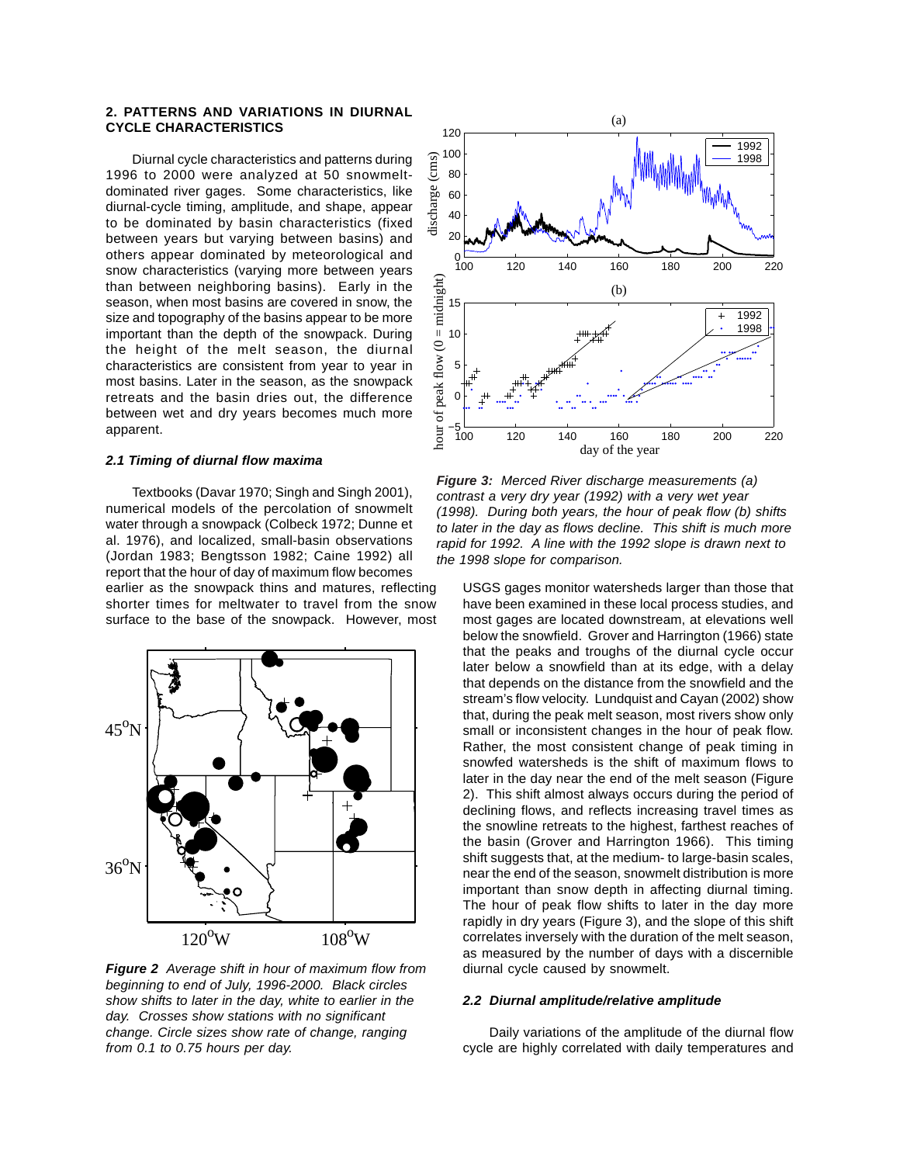## **2. PATTERNS AND VARIATIONS IN DIURNAL CYCLE CHARACTERISTICS**

Diurnal cycle characteristics and patterns during 1996 to 2000 were analyzed at 50 snowmeltdominated river gages. Some characteristics, like diurnal-cycle timing, amplitude, and shape, appear to be dominated by basin characteristics (fixed between years but varying between basins) and others appear dominated by meteorological and snow characteristics (varying more between years than between neighboring basins). Early in the season, when most basins are covered in snow, the size and topography of the basins appear to be more important than the depth of the snowpack. During the height of the melt season, the diurnal characteristics are consistent from year to year in most basins. Later in the season, as the snowpack retreats and the basin dries out, the difference between wet and dry years becomes much more apparent.

### *2.1 Timing of diurnal flow maxima*

Textbooks (Davar 1970; Singh and Singh 2001), numerical models of the percolation of snowmelt water through a snowpack (Colbeck 1972; Dunne et al. 1976), and localized, small-basin observations (Jordan 1983; Bengtsson 1982; Caine 1992) all report that the hour of day of maximum flow becomes earlier as the snowpack thins and matures, reflecting shorter times for meltwater to travel from the snow surface to the base of the snowpack. However, most



*Figure 2 Average shift in hour of maximum flow from beginning to end of July, 1996-2000. Black circles show shifts to later in the day, white to earlier in the day. Crosses show stations with no significant change. Circle sizes show rate of change, ranging from 0.1 to 0.75 hours per day.*



*Figure 3: Merced River discharge measurements (a) contrast a very dry year (1992) with a very wet year (1998). During both years, the hour of peak flow (b) shifts to later in the day as flows decline. This shift is much more rapid for 1992. A line with the 1992 slope is drawn next to the 1998 slope for comparison.*

USGS gages monitor watersheds larger than those that have been examined in these local process studies, and most gages are located downstream, at elevations well below the snowfield. Grover and Harrington (1966) state that the peaks and troughs of the diurnal cycle occur later below a snowfield than at its edge, with a delay that depends on the distance from the snowfield and the stream's flow velocity. Lundquist and Cayan (2002) show that, during the peak melt season, most rivers show only small or inconsistent changes in the hour of peak flow. Rather, the most consistent change of peak timing in snowfed watersheds is the shift of maximum flows to later in the day near the end of the melt season (Figure 2). This shift almost always occurs during the period of declining flows, and reflects increasing travel times as the snowline retreats to the highest, farthest reaches of the basin (Grover and Harrington 1966). This timing shift suggests that, at the medium- to large-basin scales, near the end of the season, snowmelt distribution is more important than snow depth in affecting diurnal timing. The hour of peak flow shifts to later in the day more rapidly in dry years (Figure 3), and the slope of this shift correlates inversely with the duration of the melt season, as measured by the number of days with a discernible diurnal cycle caused by snowmelt.

### *2.2 Diurnal amplitude/relative amplitude*

Daily variations of the amplitude of the diurnal flow cycle are highly correlated with daily temperatures and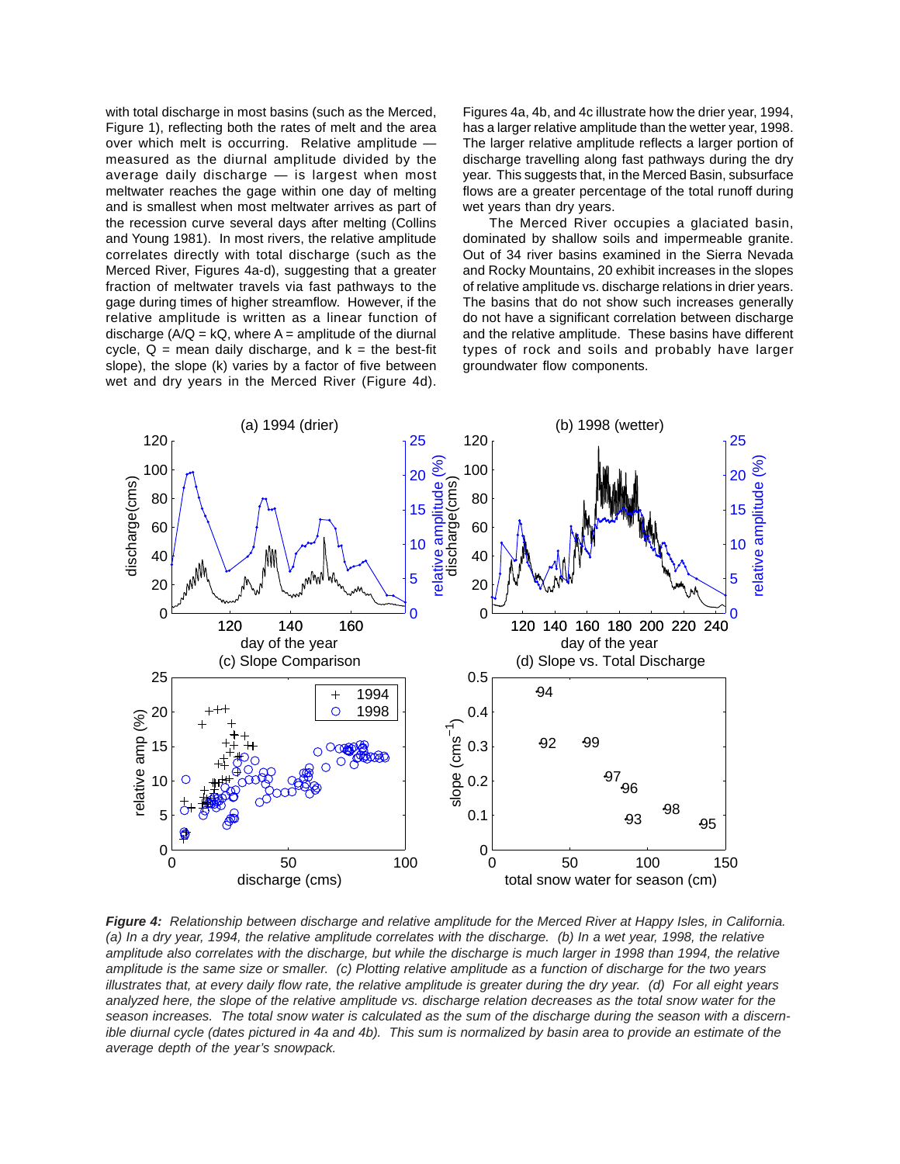with total discharge in most basins (such as the Merced, Figure 1), reflecting both the rates of melt and the area over which melt is occurring. Relative amplitude measured as the diurnal amplitude divided by the average daily discharge — is largest when most meltwater reaches the gage within one day of melting and is smallest when most meltwater arrives as part of the recession curve several days after melting (Collins and Young 1981). In most rivers, the relative amplitude correlates directly with total discharge (such as the Merced River, Figures 4a-d), suggesting that a greater fraction of meltwater travels via fast pathways to the gage during times of higher streamflow. However, if the relative amplitude is written as a linear function of discharge  $(A/Q = kQ)$ , where  $A =$  amplitude of the diurnal cycle,  $Q =$  mean daily discharge, and  $k =$  the best-fit slope), the slope (k) varies by a factor of five between wet and dry years in the Merced River (Figure 4d).

Figures 4a, 4b, and 4c illustrate how the drier year, 1994, has a larger relative amplitude than the wetter year, 1998. The larger relative amplitude reflects a larger portion of discharge travelling along fast pathways during the dry year. This suggests that, in the Merced Basin, subsurface flows are a greater percentage of the total runoff during wet years than dry years.

The Merced River occupies a glaciated basin, dominated by shallow soils and impermeable granite. Out of 34 river basins examined in the Sierra Nevada and Rocky Mountains, 20 exhibit increases in the slopes of relative amplitude vs. discharge relations in drier years. The basins that do not show such increases generally do not have a significant correlation between discharge and the relative amplitude. These basins have different types of rock and soils and probably have larger groundwater flow components.



*Figure 4: Relationship between discharge and relative amplitude for the Merced River at Happy Isles, in California. (a) In a dry year, 1994, the relative amplitude correlates with the discharge. (b) In a wet year, 1998, the relative amplitude also correlates with the discharge, but while the discharge is much larger in 1998 than 1994, the relative amplitude is the same size or smaller. (c) Plotting relative amplitude as a function of discharge for the two years illustrates that, at every daily flow rate, the relative amplitude is greater during the dry year. (d) For all eight years analyzed here, the slope of the relative amplitude vs. discharge relation decreases as the total snow water for the season increases. The total snow water is calculated as the sum of the discharge during the season with a discernible diurnal cycle (dates pictured in 4a and 4b). This sum is normalized by basin area to provide an estimate of the average depth of the year's snowpack.*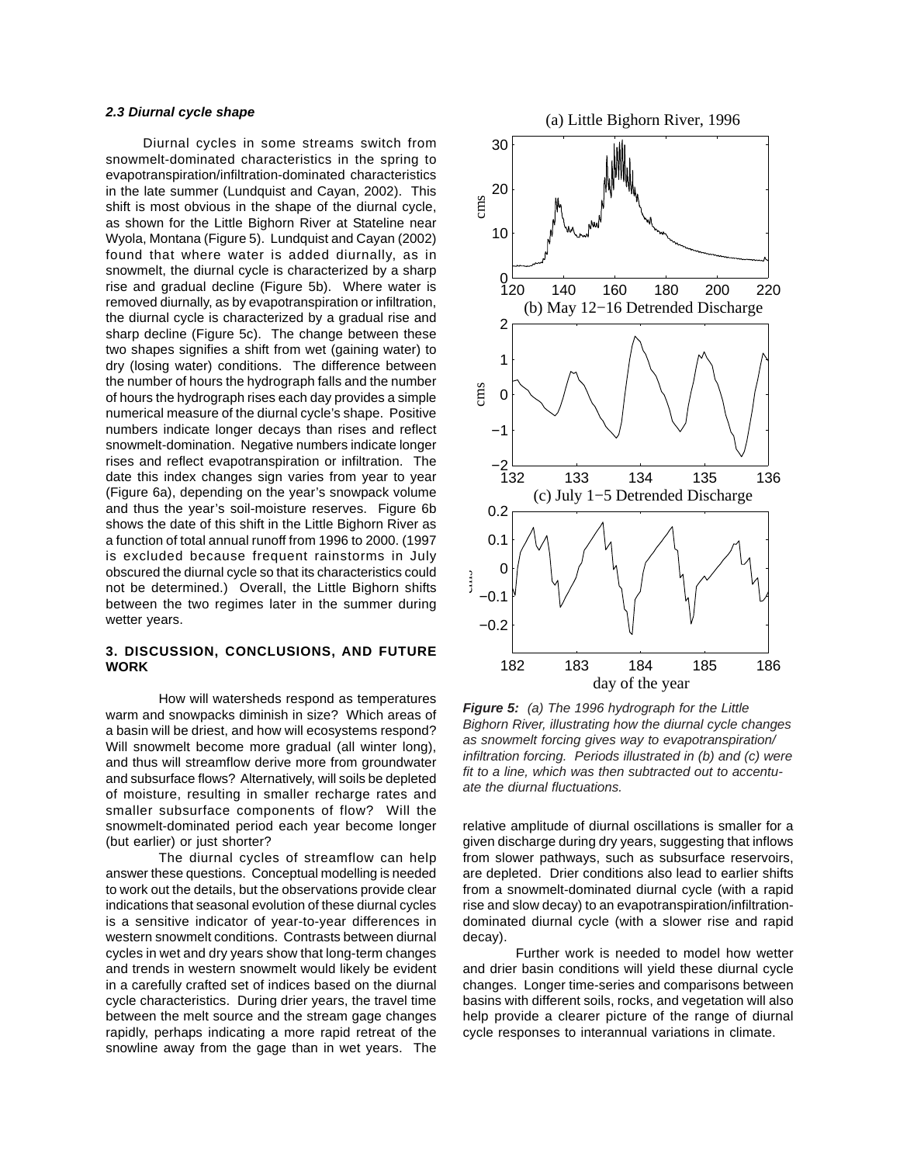# *2.3 Diurnal cycle shape*

 Diurnal cycles in some streams switch from snowmelt-dominated characteristics in the spring to evapotranspiration/infiltration-dominated characteristics in the late summer (Lundquist and Cayan, 2002). This shift is most obvious in the shape of the diurnal cycle, as shown for the Little Bighorn River at Stateline near Wyola, Montana (Figure 5). Lundquist and Cayan (2002) found that where water is added diurnally, as in snowmelt, the diurnal cycle is characterized by a sharp rise and gradual decline (Figure 5b). Where water is removed diurnally, as by evapotranspiration or infiltration, the diurnal cycle is characterized by a gradual rise and sharp decline (Figure 5c). The change between these two shapes signifies a shift from wet (gaining water) to dry (losing water) conditions. The difference between the number of hours the hydrograph falls and the number of hours the hydrograph rises each day provides a simple numerical measure of the diurnal cycle's shape. Positive numbers indicate longer decays than rises and reflect snowmelt-domination. Negative numbers indicate longer rises and reflect evapotranspiration or infiltration. The date this index changes sign varies from year to year (Figure 6a), depending on the year's snowpack volume and thus the year's soil-moisture reserves. Figure 6b shows the date of this shift in the Little Bighorn River as a function of total annual runoff from 1996 to 2000. (1997 is excluded because frequent rainstorms in July obscured the diurnal cycle so that its characteristics could not be determined.) Overall, the Little Bighorn shifts between the two regimes later in the summer during wetter years.

# **3. DISCUSSION, CONCLUSIONS, AND FUTURE WORK**

How will watersheds respond as temperatures warm and snowpacks diminish in size? Which areas of a basin will be driest, and how will ecosystems respond? Will snowmelt become more gradual (all winter long), and thus will streamflow derive more from groundwater and subsurface flows? Alternatively, will soils be depleted of moisture, resulting in smaller recharge rates and smaller subsurface components of flow? Will the snowmelt-dominated period each year become longer (but earlier) or just shorter?

The diurnal cycles of streamflow can help answer these questions. Conceptual modelling is needed to work out the details, but the observations provide clear indications that seasonal evolution of these diurnal cycles is a sensitive indicator of year-to-year differences in western snowmelt conditions. Contrasts between diurnal cycles in wet and dry years show that long-term changes and trends in western snowmelt would likely be evident in a carefully crafted set of indices based on the diurnal cycle characteristics. During drier years, the travel time between the melt source and the stream gage changes rapidly, perhaps indicating a more rapid retreat of the snowline away from the gage than in wet years. The



*Figure 5: (a) The 1996 hydrograph for the Little Bighorn River, illustrating how the diurnal cycle changes as snowmelt forcing gives way to evapotranspiration/ infiltration forcing. Periods illustrated in (b) and (c) were fit to a line, which was then subtracted out to accentuate the diurnal fluctuations.*

relative amplitude of diurnal oscillations is smaller for a given discharge during dry years, suggesting that inflows from slower pathways, such as subsurface reservoirs, are depleted. Drier conditions also lead to earlier shifts from a snowmelt-dominated diurnal cycle (with a rapid rise and slow decay) to an evapotranspiration/infiltrationdominated diurnal cycle (with a slower rise and rapid decay).

Further work is needed to model how wetter and drier basin conditions will yield these diurnal cycle changes. Longer time-series and comparisons between basins with different soils, rocks, and vegetation will also help provide a clearer picture of the range of diurnal cycle responses to interannual variations in climate.